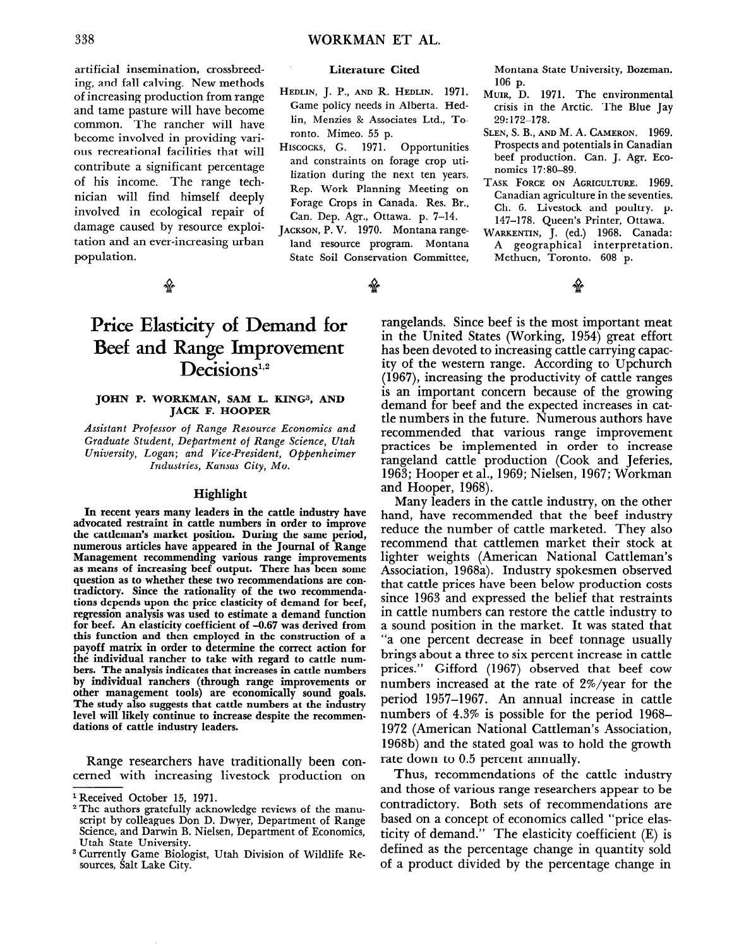# **Price Elasticity of Demand for Beef and Range Improvement**  Decisions<sup>1,2</sup>

#### **JOHN P. WORKMAN, SAM L. KINGS, AND JACK F. HOOPER**

*Assistant Professor* of *Range Resource Economics and Graduate Student, Department* of *Range Science, Utah University, Logan; and Vice-President, Oppenheimer Industries, Kansas City, MO.* 

## **Highlight**

**In recent years many leaders in the cattle industry have advocated restraint in cattle numbers in order to improve the cattleman's market position. During the same period, numerous articles have appeared in the Journal of Range Management recommending various range improvements as means of increasing beef output. There has been some question as to whether these two recommendations are contradictory. Since the rationality of the two recommendations depends upon the price elasticity of demand for beef, regression analysis was used to estimate a demand function for beef. An elasticity coefficient of -0.67 was derived from this function and then employed in the construction of a payoff matrix in order to determine the correct action for the individual rancher to take with regard to cattle num**bers. The analysis indicates that increases in cattle numbers **by individual ranchers (through range improvements or other management tools) are economically sound goals. The study also suggests that cattle numbers at the industry**  level will likely continue to increase despite the recommen**dations of cattle industry leaders.** 

Range researchers have traditionally been concerned with increasing livestock production on

rangelands. Since beef is the most important meat in the United States (Working, 1954) great effort has been devoted to increasing cattle carrying capacity of the western range. According to Upchurch (1967), increasing the productivity of cattle ranges is an important concern because of the growing demand for beef and the expected increases in cattle numbers in the future. Numerous authors have recommended that various range improvement practices be implemented in order to increase rangeland cattle production (Cook and Jeferies, 1963; Hooper et al., 1969; Nielsen, 1967; Workman and Hooper, 1968).

Many leaders in the cattle industry, on the other hand, have recommended that the beef industry reduce the number of cattle marketed. They also recommend that cattlemen market their stock at lighter weights (American National Cattleman's Association, 1968a). Industry spokesmen observed that cattle prices have been below production costs since 1963 and expressed the belief that restraints in cattle numbers can restore the cattle industry to a sound position in the market. It was stated that "a one percent decrease in beef tonnage usually brings about a three to six percent increase in cattle prices." Gifford (1967) observed that beef cow numbers increased at the rate of Z%/year for the period 1957-1967. An annual increase in cattle numbers of 4.3% is possible for the period 1968- 1972 (American National Cattleman's Association, 1968b) and the stated goal was to hold the growth rate down to 0.5 percent annually.

Thus, recommendations of the cattle industry and those of various range researchers appear to be contradictory. Both sets of recommendations are based on a concept of economics called "price elasticity of demand." The elasticity coefficient (E) is defined as the percentage change in quantity sold of a product divided by the percentage change in

**l Received October 15, 1971.** 

<sup>2</sup> **The authors gratefully acknowledge reviews of the manuscript by colleagues Don D. Dwyer, Department of Range Science, and Darwin B. Nielsen, Department of Economics, Utah State University.** 

**<sup>3</sup> Currently Game Biologist, Utah Division of Wildlife Resources, Salt Lake City.**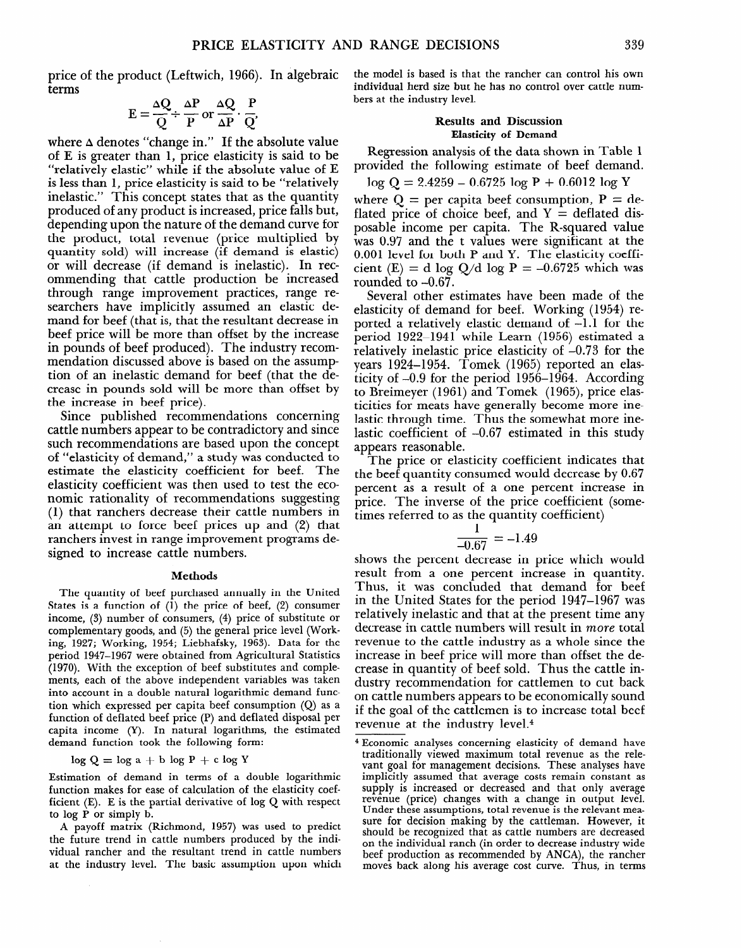price of the product (Leftwich, 1966). In algebraic terms

$$
E = \frac{\Delta Q}{Q} \div \frac{\Delta P}{P} \text{ or } \frac{\Delta Q}{\Delta P} \cdot \frac{P}{Q}
$$

where  $\Delta$  denotes "change in." If the absolute value of E is greater than 1, price elasticity is said to be "relatively elastic" while if the absolute value of E is less than 1, price elasticity is said to be "relatively inelastic." This concept states that as the quantity produced of any product is increased, price falls but, depending upon the nature of the demand curve for the product, total revenue (price multiplied by quantity sold) will increase (if demand is elastic) or will decrease (if demand is inelastic). In recommending that cattle production be increased through range improvement practices, range researchers have implicitly assumed an elastic demand for beef (that is, that the resultant decrease in beef price will be more than offset by the increase in pounds of beef produced). The industry recommendation discussed above is based on the assumption of an inelastic demand for beef (that the decrease in pounds sold will be more than offset by the increase in beef price).

Since published recommendations concerning cattle numbers appear to be contradictory and since such recommendations are based upon the concept of "elasticity of demand," a study was conducted to estimate the elasticity coefficient for beef. The elasticity coefficient was then used to test the economic rationality of recommendations suggesting (1) that ranchers decrease their cattle numbers in an attempt to force beef prices up and (2) that ranchers invest in range improvement programs designed to increase cattle numbers.

#### **Methods**

The quantity of beef purchased annually in the United States is a function of (1) the price of beef, (2) consumer income, (3) number of consumers, (4) price of substitute or complementary goods, and (5) the general price level (Working, 1927; Working, 1954; Liebhafsky, 1963). Data for the period 1947-1967 were obtained from Agricultural Statistics (1970). With the exception of beef substitutes and complements, each of the above independent variables was taken into account in a double natural logarithmic demand function which expressed per capita beef consumption (Q) as a function of deflated beef price (P) and deflated disposal per capita income (Y). In natural logarithms, the estimated demand function took the following form:

 $\log Q = \log a + b \log P + c \log Y$ 

Estimation of demand in terms of a double logarithmic function makes for ease of calculation of the elasticity coefficient (E). E is the partial derivative of log Q with respect to log P or simply b.

A payoff matrix (Richmond, 1957) was used to predict the future trend in cattle numbers produced by the individual rancher and the resultant trend in cattle numbers at the industry level. The basic assumption upon which

the model is based is that the rancher can control his own individual herd size but he has no control over cattle numbers at the industry level.

### **Results and Discussion Elasticity of Demand**

Regression analysis of the data shown in Table 1 provided the following estimate of beef demand.

$$
\log Q = 2.4259 - 0.6725 \log P + 0.6012 \log Y
$$

where  $Q =$  per capita beef consumption,  $P =$  deflated price of choice beef, and  $Y =$  deflated disposable income per capita. The R-squared value was 0.97 and the t values were significant at the 0.001 level for both P and Y. The elasticity coefficient (E) = d log Q/d log P = -0.6725 which was rounded to  $-0.67$ .

Several other estimates have been made of the elasticity of demand for beef. Working (1954) reported a relatively elastic demand of  $-1.1$  for the period 1922-1941 while Learn (1956) estimated a relatively inelastic price elasticity of -0.73 for the years 1924-1954. Tomek (1965) reported an elasticity of -0.9 for the period 1956-1964. According to Breimeyer  $(1961)$  and Tomek  $(1965)$ , price elasticities for meats have generally become more inelastic through time. Thus the somewhat more inelastic coefficient of -0.67 estimated in this study appears reasonable.

The price or elasticity coefficient indicates that the beef quantity consumed would decrease by 0.67 percent as a result of a one percent increase in price. The inverse of the price coefficient (sometimes referred to as the quantity coefficient)

$$
\frac{1}{-0.67} = -1.49
$$

shows the percent decrease in price which would result from a one percent increase in quantity. Thus, it was concluded that demand for beef in the United States for the period 1947-1967 was relatively inelastic and that at the present time any decrease in cattle numbers will result in *more* total revenue to the cattle industry as a whole since the increase in beef price will more than offset the decrease in quantity of beef sold. Thus the cattle industry recommendation for cattlemen to cut back on cattle numbers appears to be economically sound if the goal of the cattlemen is to increase total beef revenue at the industry leve1.4

<sup>4</sup> Economic analyses concerning elasticity of demand have traditionally viewed maximum total revenue as the relevant goal for management decisions. These analyses have implicitly assumed that average costs remain constant as supply is increased or decreased and that only average revenue (price) changes with a change in output level. Under these assumptions, total revenue is the relevant measure for decision making by the cattleman. However, it should be recognized that as cattle numbers are decreased on the individual ranch (in order to decrease industry wide beef production as recommended by ANCA), the rancher moves back along his average cost curve. Thus, in terms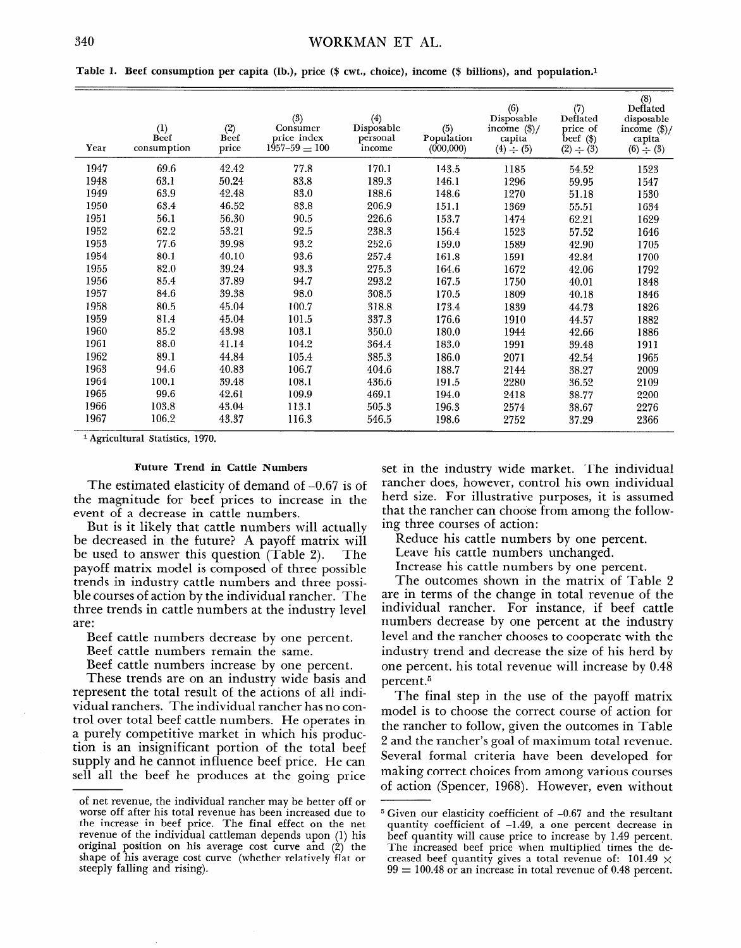Table 1. **Beef consumption per capita (lb.), price (\$ cwt., choice), income (\$ billions), and population.1** 

| Year | (1)<br>Beef<br>consumption | (2)<br>Beef<br>price | (3)<br>Consumer<br>price index<br>$1957 - 59 = 100$ | (4)<br>Disposable<br>personal<br>income | (5)<br>Population<br>(000, 000) | (6)<br>Disposable<br>income $(\frac{1}{2})$ /<br>capita<br>$(4) \div (5)$ | (7)<br>Deflated<br>price of<br>$\text{beef } (\text{\$})$<br>$(2) \div (3)$ | $^{(8)}_{\text{Deflated}}$<br>disposable<br>income $(\frac{2}{3})$ /<br>capita<br>$(6) \div (3)$ |
|------|----------------------------|----------------------|-----------------------------------------------------|-----------------------------------------|---------------------------------|---------------------------------------------------------------------------|-----------------------------------------------------------------------------|--------------------------------------------------------------------------------------------------|
| 1947 | 69.6                       | 42.42                | 77.8                                                | 170.1                                   | 143.5                           | 1185                                                                      | 54.52                                                                       | 1523                                                                                             |
| 1948 | 63.1                       | 50.24                | 83.8                                                | 189.3                                   | 146.1                           | 1296                                                                      | 59.95                                                                       | 1547                                                                                             |
| 1949 | 63.9                       | 42.48                | 83.0                                                | 188.6                                   | 148.6                           | 1270                                                                      | 51.18                                                                       | 1530                                                                                             |
| 1950 | 63.4                       | 46.52                | 83.8                                                | 206.9                                   | 151.1                           | 1369                                                                      | 55.51                                                                       | 1634                                                                                             |
| 1951 | 56.1                       | 56.30                | 90.5                                                | 226.6                                   | 153.7                           | 1474                                                                      | 62.21                                                                       | 1629                                                                                             |
| 1952 | 62.2                       | 53.21                | 92.5                                                | 238.3                                   | 156.4                           | 1523                                                                      | 57.52                                                                       | 1646                                                                                             |
| 1953 | 77.6                       | 39.98                | 93.2                                                | 252.6                                   | 159.0                           | 1589                                                                      | 42.90                                                                       | 1705                                                                                             |
| 1954 | 80.1                       | 40.10                | 93.6                                                | 257.4                                   | 161.8                           | 1591                                                                      | 42.84                                                                       | 1700                                                                                             |
| 1955 | 82.0                       | 39.24                | 93.3                                                | 275.3                                   | 164.6                           | 1672                                                                      | 42.06                                                                       | 1792                                                                                             |
| 1956 | 85.4                       | 37.89                | 94.7                                                | 293.2                                   | 167.5                           | 1750                                                                      | 40.01                                                                       | 1848                                                                                             |
| 1957 | 84.6                       | 39.38                | 98.0                                                | 308.5                                   | 170.5                           | 1809                                                                      | 40.18                                                                       | 1846                                                                                             |
| 1958 | 80.5                       | 45.04                | 100.7                                               | 318.8                                   | 173.4                           | 1839                                                                      | 44.73                                                                       | 1826                                                                                             |
| 1959 | 81.4                       | 45.04                | 101.5                                               | 337.3                                   | 176.6                           | 1910                                                                      | 44.57                                                                       | 1882                                                                                             |
| 1960 | 85.2                       | 43.98                | 103.1                                               | 350.0                                   | 180.0                           | 1944                                                                      | 42.66                                                                       | 1886                                                                                             |
| 1961 | 88.0                       | 41.14                | 104.2                                               | 364.4                                   | 183.0                           | 1991                                                                      | 39.48                                                                       | 1911                                                                                             |
| 1962 | 89.1                       | 44.84                | 105.4                                               | 385.3                                   | 186.0                           | 2071                                                                      | 42.54                                                                       | 1965                                                                                             |
| 1963 | 94.6                       | 40.83                | 106.7                                               | 404.6                                   | 188.7                           | 2144                                                                      | 38.27                                                                       | 2009                                                                                             |
| 1964 | 100.1                      | 39.48                | 108.1                                               | 436.6                                   | 191.5                           | 2280                                                                      | 36.52                                                                       | 2109                                                                                             |
| 1965 | 99.6                       | 42.61                | 109.9                                               | 469.1                                   | 194.0                           | 2418                                                                      | 38.77                                                                       | 2200                                                                                             |
| 1966 | 103.8                      | 43.04                | 113.1                                               | 505.3                                   | 196.3                           | 2574                                                                      | 38.67                                                                       | 2276                                                                                             |
| 1967 | 106.2                      | 43.37                | 116.3                                               | 546.5                                   | 198.6                           | 2752                                                                      | 37.29                                                                       | 2366                                                                                             |

**1 Agricultural Statistics, 1970.** 

The estimated elasticity of demand of  $-0.67$  is of the magnitude for beef prices to increase in the event of a decrease in cattle numbers.

But is it likely that cattle numbers will actually be decreased in the future? A payoff matrix will be used to answer this question (Table 2). The payoff matrix model is composed of three possible trends in industry cattle numbers and three possible courses of action by the individual rancher. The three trends in cattle numbers at the industry level are:

Beef cattle numbers decrease by one percent.

Beef cattle numbers remain the same.

Beef cattle numbers increase by one percent.

These trends are on an industry wide basis and represent the total result of the actions of all individual ranchers. The individual rancher has no control over total beef cattle numbers. He operates in a purely competitive market in which his production is an insignificant portion of the total beef supply and he cannot influence beef price. He can sell all the beef he produces at the going price

Future Trend in Cattle Numbers set in the industry wide market. The individual rancher does, however, control his own individual herd size. For illustrative purposes, it is assumed that the rancher can choose from among the following three courses of action:

Reduce his cattle numbers by one percent.

Leave his cattle numbers unchanged.

Increase his cattle numbers by one percent.

The outcomes shown in the matrix of Table 2 are in terms of the change in total revenue of the individual rancher. For instance, if beef cattle numbers decrease by one percent at the industry level and the rancher chooses to cooperate with the industry trend and decrease the size of his herd by one percent, his total revenue will increase by 0.48 percent.<sup>5</sup>

The final step in the use of the payoff matrix model is to choose the correct course of action for the rancher to follow, given the outcomes in Table 2 and the rancher's goal of maximum total revenue. Several formal criteria have been developed for making correct choices from among various courses of action (Spencer, 1968). However, even without

**of net revenue, the individual rancher may be better off or worse off after his total revenue has been increased due to the increase in beef price. The final effect on the net revenue of the individual cattleman depends upon (1) his original position on his average cost curve and (2) the shape of his average cost curve (whether relatively flat or steeply falling and rising).** 

**<sup>5</sup> Given our elasticity coefficient of -0.67 and the resultant quantity coefficient of -1.49, a one percent decrease in beef quantity will cause price to increase by 1.49 percent.**  The increased beef price when multiplied times the de**creased beef quantity gives a total revenue of: 101.49 x 99 = 100.48 or an increase in total revenue of 0.48 percent.**